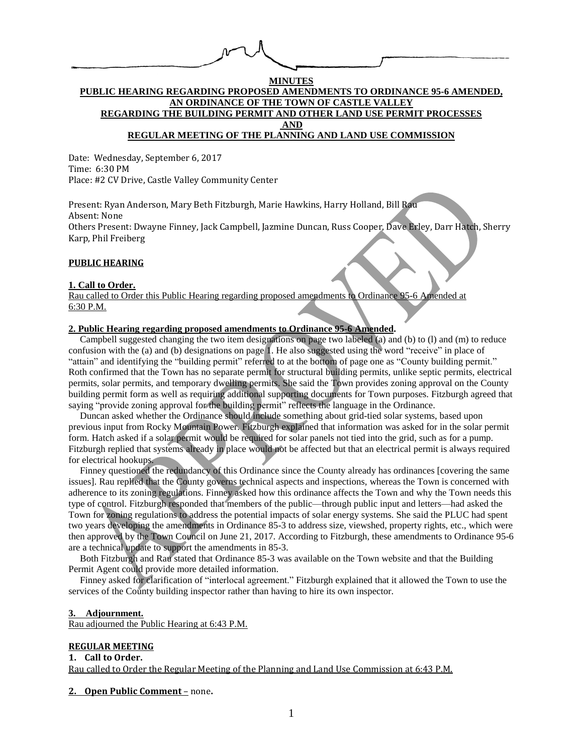## **MINUTES PUBLIC HEARING REGARDING PROPOSED AMENDMENTS TO ORDINANCE 95-6 AMENDED, AN ORDINANCE OF THE TOWN OF CASTLE VALLEY REGARDING THE BUILDING PERMIT AND OTHER LAND USE PERMIT PROCESSES AND REGULAR MEETING OF THE PLANNING AND LAND USE COMMISSION**

Date: Wednesday, September 6, 2017 Time: 6:30 PM Place: #2 CV Drive, Castle Valley Community Center

Present: Ryan Anderson, Mary Beth Fitzburgh, Marie Hawkins, Harry Holland, Bill Rau Absent: None Others Present: Dwayne Finney, Jack Campbell, Jazmine Duncan, Russ Cooper, Dave Erley, Darr Hatch, Sherry Karp, Phil Freiberg

#### **PUBLIC HEARING**

#### **1. Call to Order.**

Rau called to Order this Public Hearing regarding proposed amendments to Ordinance 95-6 Amended at 6:30 P.M.

### **2. Public Hearing regarding proposed amendments to Ordinance 95-6 Amended.**

Campbell suggested changing the two item designations on page two labeled (a) and (b) to (l) and (m) to reduce confusion with the (a) and (b) designations on page 1. He also suggested using the word "receive" in place of "attain" and identifying the "building permit" referred to at the bottom of page one as "County building permit." Roth confirmed that the Town has no separate permit for structural building permits, unlike septic permits, electrical permits, solar permits, and temporary dwelling permits. She said the Town provides zoning approval on the County building permit form as well as requiring additional supporting documents for Town purposes. Fitzburgh agreed that saying "provide zoning approval for the building permit" reflects the language in the Ordinance.

Duncan asked whether the Ordinance should include something about grid-tied solar systems, based upon previous input from Rocky Mountain Power. Fitzburgh explained that information was asked for in the solar permit form. Hatch asked if a solar permit would be required for solar panels not tied into the grid, such as for a pump. Fitzburgh replied that systems already in place would not be affected but that an electrical permit is always required for electrical hookups.

Finney questioned the redundancy of this Ordinance since the County already has ordinances [covering the same issues]. Rau replied that the County governs technical aspects and inspections, whereas the Town is concerned with adherence to its zoning regulations. Finney asked how this ordinance affects the Town and why the Town needs this type of control. Fitzburgh responded that members of the public—through public input and letters—had asked the Town for zoning regulations to address the potential impacts of solar energy systems. She said the PLUC had spent two years developing the amendments in Ordinance 85-3 to address size, viewshed, property rights, etc., which were then approved by the Town Council on June 21, 2017. According to Fitzburgh, these amendments to Ordinance 95-6 are a technical update to support the amendments in 85-3.

Both Fitzburgh and Rau stated that Ordinance 85-3 was available on the Town website and that the Building Permit Agent could provide more detailed information.

Finney asked for clarification of "interlocal agreement." Fitzburgh explained that it allowed the Town to use the services of the County building inspector rather than having to hire its own inspector.

#### **3. Adjournment.**

Rau adjourned the Public Hearing at 6:43 P.M.

#### **REGULAR MEETING**

**1. Call to Order.** Rau called to Order the Regular Meeting of the Planning and Land Use Commission at 6:43 P.M.

**2. Open Public Comment** – none**.**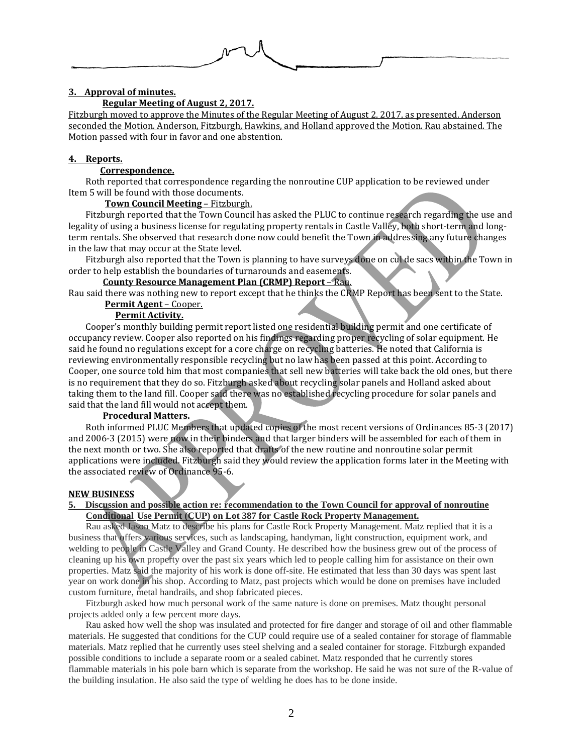

# **3. Approval of minutes.**

#### **Regular Meeting of August 2, 2017.**

Fitzburgh moved to approve the Minutes of the Regular Meeting of August 2, 2017, as presented. Anderson seconded the Motion. Anderson, Fitzburgh, Hawkins, and Holland approved the Motion. Rau abstained. The Motion passed with four in favor and one abstention.

### **4. Reports.**

## **Correspondence.**

Roth reported that correspondence regarding the nonroutine CUP application to be reviewed under Item 5 will be found with those documents.

#### **Town Council Meeting** – Fitzburgh.

Fitzburgh reported that the Town Council has asked the PLUC to continue research regarding the use and legality of using a business license for regulating property rentals in Castle Valley, both short-term and longterm rentals. She observed that research done now could benefit the Town in addressing any future changes in the law that may occur at the State level.

Fitzburgh also reported that the Town is planning to have surveys done on cul de sacs within the Town in order to help establish the boundaries of turnarounds and easements.

#### **County Resource Management Plan (CRMP) Report** – Rau.

Rau said there was nothing new to report except that he thinks the CRMP Report has been sent to the State. **Permit Agent** – Cooper.

### **Permit Activity.**

Cooper's monthly building permit report listed one residential building permit and one certificate of occupancy review. Cooper also reported on his findings regarding proper recycling of solar equipment. He said he found no regulations except for a core charge on recycling batteries. He noted that California is reviewing environmentally responsible recycling but no law has been passed at this point. According to Cooper, one source told him that most companies that sell new batteries will take back the old ones, but there is no requirement that they do so. Fitzburgh asked about recycling solar panels and Holland asked about taking them to the land fill. Cooper said there was no established recycling procedure for solar panels and said that the land fill would not accept them.

### **Procedural Matters.**

Roth informed PLUC Members that updated copies of the most recent versions of Ordinances 85-3 (2017) and 2006-3 (2015) were now in their binders and that larger binders will be assembled for each of them in the next month or two. She also reported that drafts of the new routine and nonroutine solar permit applications were included. Fitzburgh said they would review the application forms later in the Meeting with the associated review of Ordinance 95-6.

### **NEW BUSINESS**

### **5. Discussion and possible action re: recommendation to the Town Council for approval of nonroutine Conditional Use Permit (CUP) on Lot 387 for Castle Rock Property Management.**

Rau asked Jason Matz to describe his plans for Castle Rock Property Management. Matz replied that it is a business that offers various services, such as landscaping, handyman, light construction, equipment work, and welding to people in Castle Valley and Grand County. He described how the business grew out of the process of cleaning up his own property over the past six years which led to people calling him for assistance on their own properties. Matz said the majority of his work is done off-site. He estimated that less than 30 days was spent last year on work done in his shop. According to Matz, past projects which would be done on premises have included custom furniture, metal handrails, and shop fabricated pieces.

Fitzburgh asked how much personal work of the same nature is done on premises. Matz thought personal projects added only a few percent more days.

Rau asked how well the shop was insulated and protected for fire danger and storage of oil and other flammable materials. He suggested that conditions for the CUP could require use of a sealed container for storage of flammable materials. Matz replied that he currently uses steel shelving and a sealed container for storage. Fitzburgh expanded possible conditions to include a separate room or a sealed cabinet. Matz responded that he currently stores flammable materials in his pole barn which is separate from the workshop. He said he was not sure of the R-value of the building insulation. He also said the type of welding he does has to be done inside.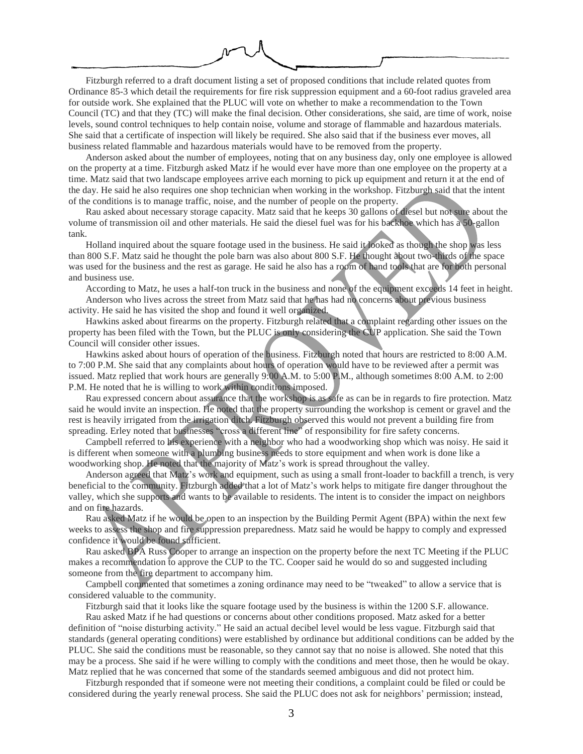Fitzburgh referred to a draft document listing a set of proposed conditions that include related quotes from Ordinance 85-3 which detail the requirements for fire risk suppression equipment and a 60-foot radius graveled area for outside work. She explained that the PLUC will vote on whether to make a recommendation to the Town Council (TC) and that they (TC) will make the final decision. Other considerations, she said, are time of work, noise levels, sound control techniques to help contain noise, volume and storage of flammable and hazardous materials. She said that a certificate of inspection will likely be required. She also said that if the business ever moves, all business related flammable and hazardous materials would have to be removed from the property.

Anderson asked about the number of employees, noting that on any business day, only one employee is allowed on the property at a time. Fitzburgh asked Matz if he would ever have more than one employee on the property at a time. Matz said that two landscape employees arrive each morning to pick up equipment and return it at the end of the day. He said he also requires one shop technician when working in the workshop. Fitzburgh said that the intent of the conditions is to manage traffic, noise, and the number of people on the property.

Rau asked about necessary storage capacity. Matz said that he keeps 30 gallons of diesel but not sure about the volume of transmission oil and other materials. He said the diesel fuel was for his backhoe which has a 50-gallon tank.

Holland inquired about the square footage used in the business. He said it looked as though the shop was less than 800 S.F. Matz said he thought the pole barn was also about 800 S.F. He thought about two-thirds of the space was used for the business and the rest as garage. He said he also has a room of hand tools that are for both personal and business use.

According to Matz, he uses a half-ton truck in the business and none of the equipment exceeds 14 feet in height. Anderson who lives across the street from Matz said that he has had no concerns about previous business activity. He said he has visited the shop and found it well organized.

Hawkins asked about firearms on the property. Fitzburgh related that a complaint regarding other issues on the property has been filed with the Town, but the PLUC is only considering the CUP application. She said the Town Council will consider other issues.

Hawkins asked about hours of operation of the business. Fitzburgh noted that hours are restricted to 8:00 A.M. to 7:00 P.M. She said that any complaints about hours of operation would have to be reviewed after a permit was issued. Matz replied that work hours are generally 9:00 A.M. to 5:00 P.M., although sometimes 8:00 A.M. to 2:00 P.M. He noted that he is willing to work within conditions imposed.

Rau expressed concern about assurance that the workshop is as safe as can be in regards to fire protection. Matz said he would invite an inspection. He noted that the property surrounding the workshop is cement or gravel and the rest is heavily irrigated from the irrigation ditch. Fitzburgh observed this would not prevent a building fire from spreading. Erley noted that businesses "cross a different line" of responsibility for fire safety concerns.

Campbell referred to his experience with a neighbor who had a woodworking shop which was noisy. He said it is different when someone with a plumbing business needs to store equipment and when work is done like a woodworking shop. He noted that the majority of Matz's work is spread throughout the valley.

Anderson agreed that Matz's work and equipment, such as using a small front-loader to backfill a trench, is very beneficial to the community. Fitzburgh added that a lot of Matz's work helps to mitigate fire danger throughout the valley, which she supports and wants to be available to residents. The intent is to consider the impact on neighbors and on fire hazards.

Rau asked Matz if he would be open to an inspection by the Building Permit Agent (BPA) within the next few weeks to assess the shop and fire suppression preparedness. Matz said he would be happy to comply and expressed confidence it would be found sufficient.

Rau asked BPA Russ Cooper to arrange an inspection on the property before the next TC Meeting if the PLUC makes a recommendation to approve the CUP to the TC. Cooper said he would do so and suggested including someone from the fire department to accompany him.

Campbell commented that sometimes a zoning ordinance may need to be "tweaked" to allow a service that is considered valuable to the community.

Fitzburgh said that it looks like the square footage used by the business is within the 1200 S.F. allowance.

Rau asked Matz if he had questions or concerns about other conditions proposed. Matz asked for a better definition of "noise disturbing activity." He said an actual decibel level would be less vague. Fitzburgh said that standards (general operating conditions) were established by ordinance but additional conditions can be added by the PLUC. She said the conditions must be reasonable, so they cannot say that no noise is allowed. She noted that this may be a process. She said if he were willing to comply with the conditions and meet those, then he would be okay. Matz replied that he was concerned that some of the standards seemed ambiguous and did not protect him.

Fitzburgh responded that if someone were not meeting their conditions, a complaint could be filed or could be considered during the yearly renewal process. She said the PLUC does not ask for neighbors' permission; instead,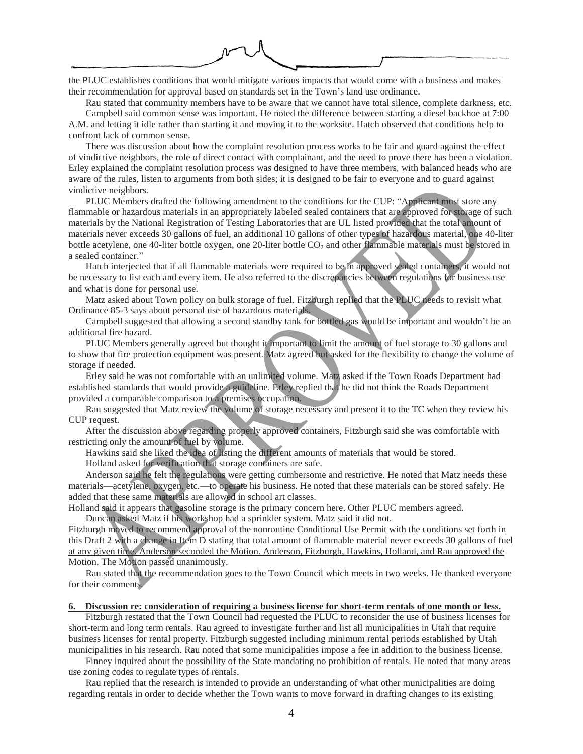the PLUC establishes conditions that would mitigate various impacts that would come with a business and makes their recommendation for approval based on standards set in the Town's land use ordinance.

Rau stated that community members have to be aware that we cannot have total silence, complete darkness, etc. Campbell said common sense was important. He noted the difference between starting a diesel backhoe at 7:00

A.M. and letting it idle rather than starting it and moving it to the worksite. Hatch observed that conditions help to confront lack of common sense.

There was discussion about how the complaint resolution process works to be fair and guard against the effect of vindictive neighbors, the role of direct contact with complainant, and the need to prove there has been a violation. Erley explained the complaint resolution process was designed to have three members, with balanced heads who are aware of the rules, listen to arguments from both sides; it is designed to be fair to everyone and to guard against vindictive neighbors.

PLUC Members drafted the following amendment to the conditions for the CUP: "Applicant must store any flammable or hazardous materials in an appropriately labeled sealed containers that are approved for storage of such materials by the National Registration of Testing Laboratories that are UL listed provided that the total amount of materials never exceeds 30 gallons of fuel, an additional 10 gallons of other types of hazardous material, one 40-liter bottle acetylene, one 40-liter bottle oxygen, one 20-liter bottle CO<sub>2</sub> and other flammable materials must be stored in a sealed container."

Hatch interjected that if all flammable materials were required to be in approved sealed containers, it would not be necessary to list each and every item. He also referred to the discrepancies between regulations for business use and what is done for personal use.

Matz asked about Town policy on bulk storage of fuel. Fitzburgh replied that the PLUC needs to revisit what Ordinance 85-3 says about personal use of hazardous materials.

Campbell suggested that allowing a second standby tank for bottled gas would be important and wouldn't be an additional fire hazard.

PLUC Members generally agreed but thought it important to limit the amount of fuel storage to 30 gallons and to show that fire protection equipment was present. Matz agreed but asked for the flexibility to change the volume of storage if needed.

Erley said he was not comfortable with an unlimited volume. Matz asked if the Town Roads Department had established standards that would provide a guideline. Erley replied that he did not think the Roads Department provided a comparable comparison to a premises occupation.

Rau suggested that Matz review the volume of storage necessary and present it to the TC when they review his CUP request.

After the discussion above regarding properly approved containers, Fitzburgh said she was comfortable with restricting only the amount of fuel by volume.

Hawkins said she liked the idea of listing the different amounts of materials that would be stored.

Holland asked for verification that storage containers are safe.

Anderson said he felt the regulations were getting cumbersome and restrictive. He noted that Matz needs these materials—acetylene, oxygen, etc.—to operate his business. He noted that these materials can be stored safely. He added that these same materials are allowed in school art classes.

Holland said it appears that gasoline storage is the primary concern here. Other PLUC members agreed.

Duncan asked Matz if his workshop had a sprinkler system. Matz said it did not.

Fitzburgh moved to recommend approval of the nonroutine Conditional Use Permit with the conditions set forth in this Draft 2 with a change in Item D stating that total amount of flammable material never exceeds 30 gallons of fuel at any given time. Anderson seconded the Motion. Anderson, Fitzburgh, Hawkins, Holland, and Rau approved the Motion. The Motion passed unanimously.

Rau stated that the recommendation goes to the Town Council which meets in two weeks. He thanked everyone for their comments.

#### **6. Discussion re: consideration of requiring a business license for short-term rentals of one month or less.**

Fitzburgh restated that the Town Council had requested the PLUC to reconsider the use of business licenses for short-term and long term rentals. Rau agreed to investigate further and list all municipalities in Utah that require business licenses for rental property. Fitzburgh suggested including minimum rental periods established by Utah municipalities in his research. Rau noted that some municipalities impose a fee in addition to the business license.

Finney inquired about the possibility of the State mandating no prohibition of rentals. He noted that many areas use zoning codes to regulate types of rentals.

Rau replied that the research is intended to provide an understanding of what other municipalities are doing regarding rentals in order to decide whether the Town wants to move forward in drafting changes to its existing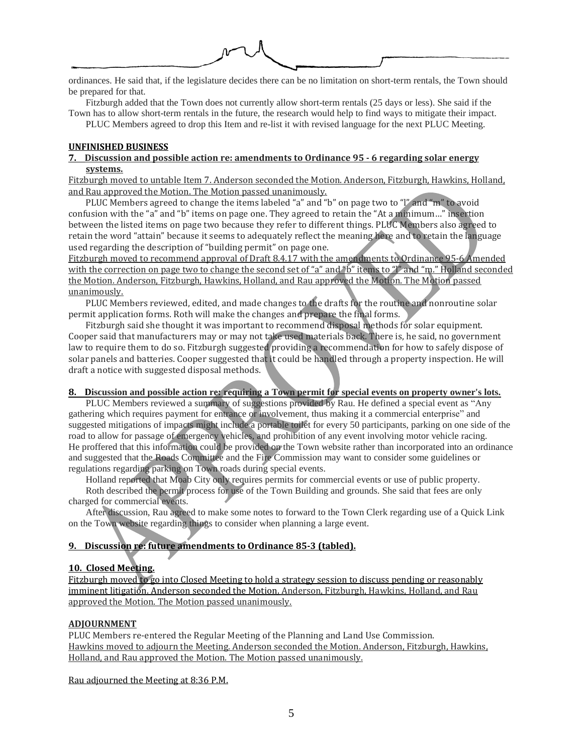ordinances. He said that, if the legislature decides there can be no limitation on short-term rentals, the Town should

be prepared for that.

Fitzburgh added that the Town does not currently allow short-term rentals (25 days or less). She said if the Town has to allow short-term rentals in the future, the research would help to find ways to mitigate their impact.

PLUC Members agreed to drop this Item and re-list it with revised language for the next PLUC Meeting.

### **UNFINISHED BUSINESS**

## **7. Discussion and possible action re: amendments to Ordinance 95 - 6 regarding solar energy systems.**

Fitzburgh moved to untable Item 7. Anderson seconded the Motion. Anderson, Fitzburgh, Hawkins, Holland, and Rau approved the Motion. The Motion passed unanimously.

PLUC Members agreed to change the items labeled "a" and "b" on page two to "l" and "m" to avoid confusion with the "a" and "b" items on page one. They agreed to retain the "At a minimum…" insertion between the listed items on page two because they refer to different things. PLUC Members also agreed to retain the word "attain" because it seems to adequately reflect the meaning here and to retain the language used regarding the description of "building permit" on page one.

Fitzburgh moved to recommend approval of Draft 8.4.17 with the amendments to Ordinance 95-6 Amended with the correction on page two to change the second set of "a" and "b" items to "l" and "m." Holland seconded the Motion. Anderson, Fitzburgh, Hawkins, Holland, and Rau approved the Motion. The Motion passed unanimously.

PLUC Members reviewed, edited, and made changes to the drafts for the routine and nonroutine solar permit application forms. Roth will make the changes and prepare the final forms.

Fitzburgh said she thought it was important to recommend disposal methods for solar equipment. Cooper said that manufacturers may or may not take used materials back. There is, he said, no government law to require them to do so. Fitzburgh suggested providing a recommendation for how to safely dispose of solar panels and batteries. Cooper suggested that it could be handled through a property inspection. He will draft a notice with suggested disposal methods.

## 8. Discussion and possible action re: requiring a Town permit for special events on property owner's lots.

PLUC Members reviewed a summary of suggestions provided by Rau. He defined a special event as "Any gathering which requires payment for entrance or involvement, thus making it a commercial enterprise" and suggested mitigations of impacts might include a portable toilet for every 50 participants, parking on one side of the road to allow for passage of emergency vehicles, and prohibition of any event involving motor vehicle racing. He proffered that this information could be provided on the Town website rather than incorporated into an ordinance and suggested that the Roads Committee and the Fire Commission may want to consider some guidelines or regulations regarding parking on Town roads during special events.

Holland reported that Moab City only requires permits for commercial events or use of public property.

Roth described the permit process for use of the Town Building and grounds. She said that fees are only charged for commercial events.

After discussion, Rau agreed to make some notes to forward to the Town Clerk regarding use of a Quick Link on the Town website regarding things to consider when planning a large event.

# **9. Discussion re: future amendments to Ordinance 85-3 (tabled).**

# **10. Closed Meeting.**

Fitzburgh moved to go into Closed Meeting to hold a strategy session to discuss pending or reasonably imminent litigation. Anderson seconded the Motion. Anderson, Fitzburgh, Hawkins, Holland, and Rau approved the Motion. The Motion passed unanimously.

### **ADJOURNMENT**

PLUC Members re-entered the Regular Meeting of the Planning and Land Use Commission. Hawkins moved to adjourn the Meeting. Anderson seconded the Motion. Anderson, Fitzburgh, Hawkins, Holland, and Rau approved the Motion. The Motion passed unanimously.

Rau adjourned the Meeting at 8:36 P.M.